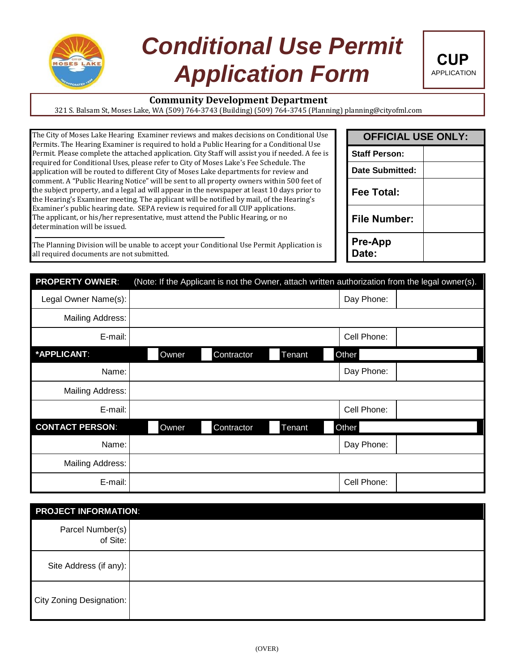

# *Conditional Use Permit*  **Application Form** CUP



# **Community Development Department**

321 S. Balsam St, Moses Lake, WA (509) 764-3743 (Building) (509) 764-3745 (Planning) planning@cityofml.com

| The City of Moses Lake Hearing Examiner reviews and makes decisions on Conditional Use           |
|--------------------------------------------------------------------------------------------------|
| Permits. The Hearing Examiner is required to hold a Public Hearing for a Conditional Use         |
| Permit. Please complete the attached application. City Staff will assist you if needed. A fee is |
| required for Conditional Uses, please refer to City of Moses Lake's Fee Schedule. The            |
| application will be routed to different City of Moses Lake departments for review and            |
| comment. A "Public Hearing Notice" will be sent to all property owners within 500 feet of        |
| the subject property, and a legal ad will appear in the newspaper at least 10 days prior to      |
| the Hearing's Examiner meeting. The applicant will be notified by mail, of the Hearing's         |
| Examiner's public hearing date. SEPA review is required for all CUP applications.                |
| The applicant, or his/her representative, must attend the Public Hearing, or no                  |
| determination will be issued.                                                                    |
|                                                                                                  |

The Planning Division will be unable to accept your Conditional Use Permit Application is all required documents are not submitted.

| <b>OFFICIAL USE ONLY:</b> |  |  |  |
|---------------------------|--|--|--|
| <b>Staff Person:</b>      |  |  |  |
| <b>Date Submitted:</b>    |  |  |  |
| Fee Total:                |  |  |  |
| File Number:              |  |  |  |
| <b>Pre-App</b><br>Date:   |  |  |  |

| <b>PROPERTY OWNER:</b> | (Note: If the Applicant is not the Owner, attach written authorization from the legal owner(s). |            |        |             |  |
|------------------------|-------------------------------------------------------------------------------------------------|------------|--------|-------------|--|
| Legal Owner Name(s):   |                                                                                                 |            |        | Day Phone:  |  |
| Mailing Address:       |                                                                                                 |            |        |             |  |
| E-mail:                |                                                                                                 |            |        | Cell Phone: |  |
| *APPLICANT:            | Owner                                                                                           | Contractor | Tenant | Other       |  |
| Name:                  |                                                                                                 |            |        | Day Phone:  |  |
| Mailing Address:       |                                                                                                 |            |        |             |  |
| E-mail:                |                                                                                                 |            |        | Cell Phone: |  |
| <b>CONTACT PERSON:</b> | Owner                                                                                           | Contractor | Tenant | Other       |  |
| Name:                  |                                                                                                 |            |        | Day Phone:  |  |
| Mailing Address:       |                                                                                                 |            |        |             |  |
| E-mail:                |                                                                                                 |            |        | Cell Phone: |  |

| <b>PROJECT INFORMATION:</b>  |  |
|------------------------------|--|
| Parcel Number(s)<br>of Site: |  |
| Site Address (if any):       |  |
| City Zoning Designation:     |  |